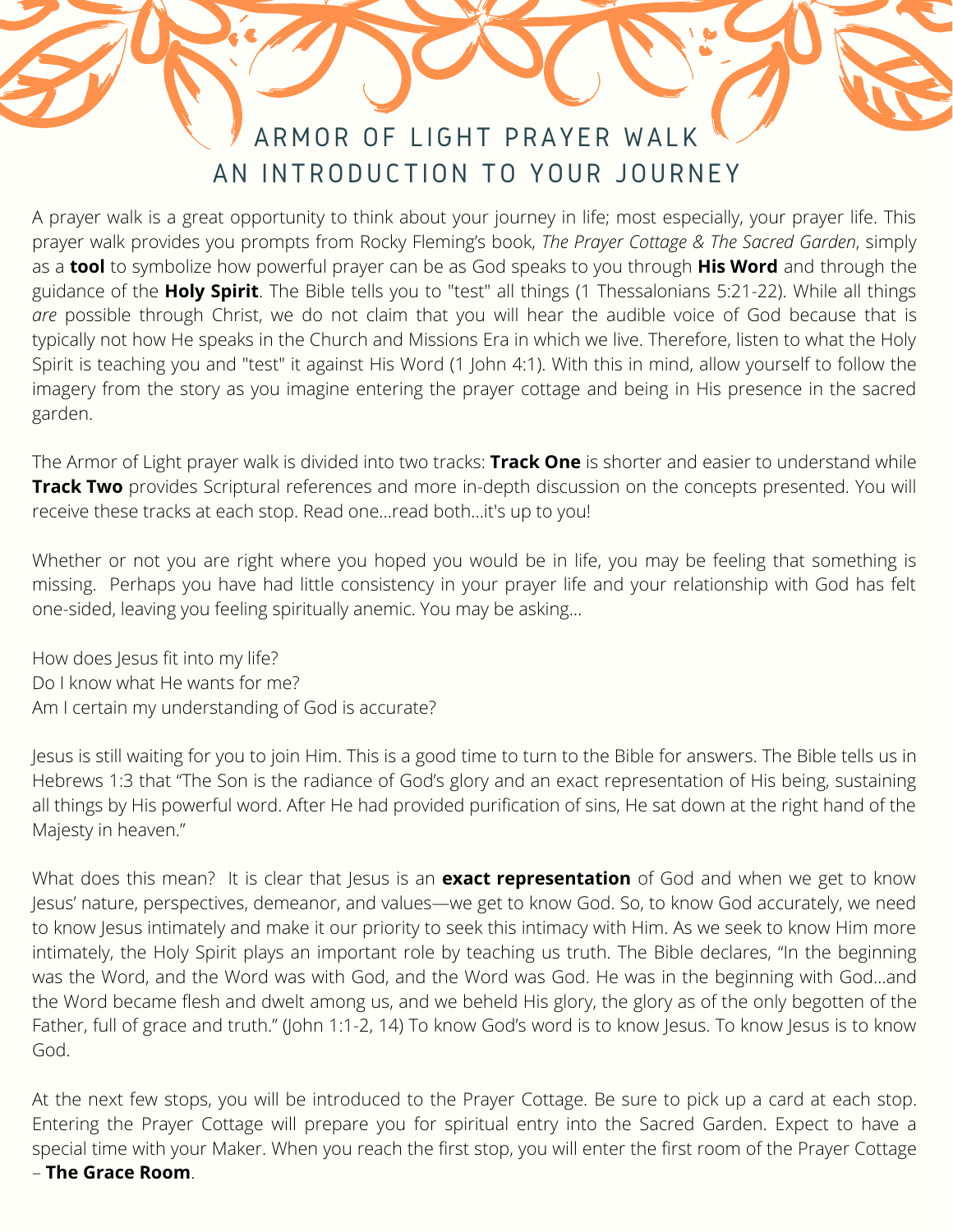## ARMOR OF LIGHT PRAYER WALK AN INTRODUCTION TO YOUR JOURNEY

A prayer walk is a great opportunity to think about your journey in life; most especially, your prayer life. This prayer walk provides you prompts from Rocky Fleming's book, *The Prayer Cottage & The Sacred Garden*, simply as a **tool** to symbolize how powerful prayer can be as God speaks to you through **His Word** and through the guidance of the **Holy Spirit**. The Bible tells you to "test" all things (1 Thessalonians 5:21-22). While all things *are* possible through Christ, we do not claim that you will hear the audible voice of God because that is typically not how He speaks in the Church and Missions Era in which we live. Therefore, listen to what the Holy Spirit is teaching you and "test" it against His Word (1 John 4:1). With this in mind, allow yourself to follow the imagery from the story as you imagine entering the prayer cottage and being in His presence in the sacred garden.

The Armor of Light prayer walk is divided into two tracks: **Track One** is shorter and easier to understand while **Track Two** provides Scriptural references and more in-depth discussion on the concepts presented. You will receive these tracks at each stop. Read one...read both...it's up to you!

Whether or not you are right where you hoped you would be in life, you may be feeling that something is missing. Perhaps you have had little consistency in your prayer life and your relationship with God has felt one-sided, leaving you feeling spiritually anemic. You may be asking…

How does Jesus fit into my life? Do I know what He wants for me? Am I certain my understanding of God is accurate?

Jesus is still waiting for you to join Him. This is a good time to turn to the Bible for answers. The Bible tells us in Hebrews 1:3 that "The Son is the radiance of God's glory and an exact representation of His being, sustaining all things by His powerful word. After He had provided purification of sins, He sat down at the right hand of the Majesty in heaven."

What does this mean? It is clear that Jesus is an **exact representation** of God and when we get to know Jesus' nature, perspectives, demeanor, and values—we get to know God. So, to know God accurately, we need to know Jesus intimately and make it our priority to seek this intimacy with Him. As we seek to know Him more intimately, the Holy Spirit plays an important role by teaching us truth. The Bible declares, "In the beginning was the Word, and the Word was with God, and the Word was God. He was in the beginning with God…and the Word became flesh and dwelt among us, and we beheld His glory, the glory as of the only begotten of the Father, full of grace and truth." (John 1:1-2, 14) To know God's word is to know Jesus. To know Jesus is to know God.

At the next few stops, you will be introduced to the Prayer Cottage. Be sure to pick up a card at each stop. Entering the Prayer Cottage will prepare you for spiritual entry into the Sacred Garden. Expect to have a special time with your Maker. When you reach the first stop, you will enter the first room of the Prayer Cottage – **The Grace Room**.